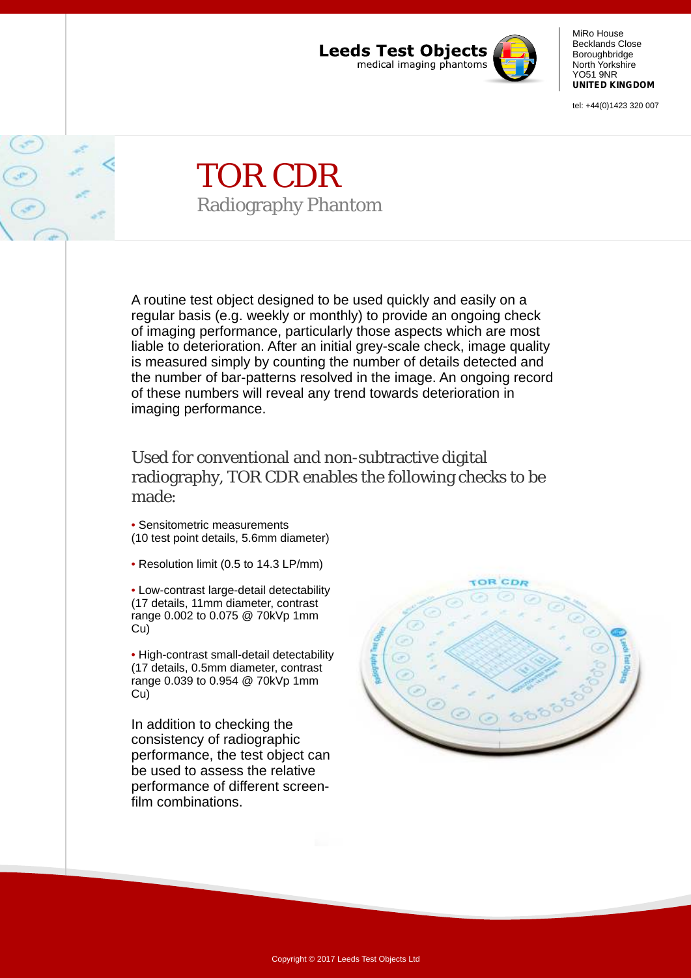

MiRo House Becklands Close Boroughbridge North Yorkshire YO51 9NR **UNITED KINGDOM**

tel: +44(0)1423 320 007

## TOR CDR Radiography Phantom

A routine test object designed to be used quickly and easily on a regular basis (e.g. weekly or monthly) to provide an ongoing check of imaging performance, particularly those aspects which are most liable to deterioration. After an initial grey-scale check, image quality is measured simply by counting the number of details detected and the number of bar-patterns resolved in the image. An ongoing record of these numbers will reveal any trend towards deterioration in imaging performance.

Used for conventional and non-subtractive digital radiography, TOR CDR enables the following checks to be made:

• Sensitometric measurements (10 test point details, 5.6mm diameter)

• Resolution limit (0.5 to 14.3 LP/mm)

Low-contrast large-detail detectability • (17 details, 11mm diameter, contrast range 0.002 to 0.075 @ 70kVp 1mm Cu)

• High-contrast small-detail detectability (17 details, 0.5mm diameter, contrast range 0.039 to 0.954 @ 70kVp 1mm Cu)

In addition to checking the consistency of radiographic performance, the test object can be used to assess the relative performance of different screenfilm combinations.